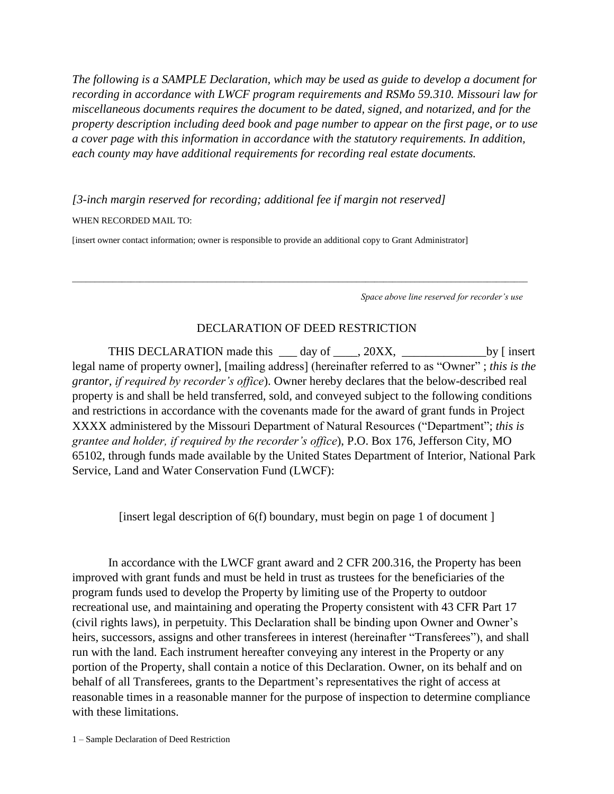*The following is a SAMPLE Declaration, which may be used as guide to develop a document for recording in accordance with LWCF program requirements and RSMo 59.310. Missouri law for miscellaneous documents requires the document to be dated, signed, and notarized, and for the property description including deed book and page number to appear on the first page, or to use a cover page with this information in accordance with the statutory requirements. In addition, each county may have additional requirements for recording real estate documents.*

*[3-inch margin reserved for recording; additional fee if margin not reserved]* WHEN RECORDED MAIL TO:

[insert owner contact information; owner is responsible to provide an additional copy to Grant Administrator]

*Space above line reserved for recorder's use*

## DECLARATION OF DEED RESTRICTION

\_\_\_\_\_\_\_\_\_\_\_\_\_\_\_\_\_\_\_\_\_\_\_\_\_\_\_\_\_\_\_\_\_\_\_\_\_\_\_\_\_\_\_\_\_\_\_\_\_\_\_\_\_\_\_\_\_\_\_\_\_\_\_\_\_\_\_\_\_\_\_\_\_\_\_\_\_\_\_\_\_\_\_\_\_\_\_\_\_\_\_\_\_\_\_\_\_\_\_\_\_

THIS DECLARATION made this <u>quarely</u> day of <u>quarely</u> 20XX, <u>quarely consistent</u> by [insert] legal name of property owner], [mailing address] (hereinafter referred to as "Owner" ; *this is the grantor, if required by recorder's office*). Owner hereby declares that the below-described real property is and shall be held transferred, sold, and conveyed subject to the following conditions and restrictions in accordance with the covenants made for the award of grant funds in Project XXXX administered by the Missouri Department of Natural Resources ("Department"; *this is grantee and holder, if required by the recorder's office*), P.O. Box 176, Jefferson City, MO 65102, through funds made available by the United States Department of Interior, National Park Service, Land and Water Conservation Fund (LWCF):

[insert legal description of  $6(f)$  boundary, must begin on page 1 of document ]

In accordance with the LWCF grant award and 2 CFR 200.316, the Property has been improved with grant funds and must be held in trust as trustees for the beneficiaries of the program funds used to develop the Property by limiting use of the Property to outdoor recreational use, and maintaining and operating the Property consistent with 43 CFR Part 17 (civil rights laws), in perpetuity. This Declaration shall be binding upon Owner and Owner's heirs, successors, assigns and other transferees in interest (hereinafter "Transferees"), and shall run with the land. Each instrument hereafter conveying any interest in the Property or any portion of the Property, shall contain a notice of this Declaration. Owner, on its behalf and on behalf of all Transferees, grants to the Department's representatives the right of access at reasonable times in a reasonable manner for the purpose of inspection to determine compliance with these limitations.

1 – Sample Declaration of Deed Restriction